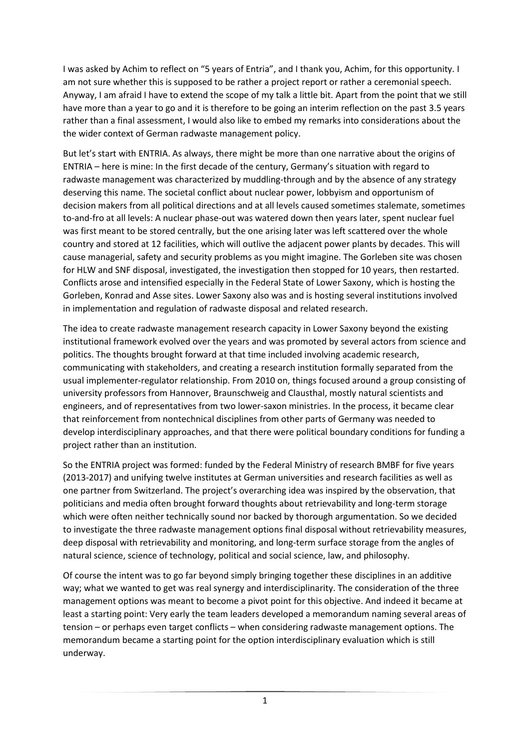I was asked by Achim to reflect on "5 years of Entria", and I thank you, Achim, for this opportunity. I am not sure whether this is supposed to be rather a project report or rather a ceremonial speech. Anyway, I am afraid I have to extend the scope of my talk a little bit. Apart from the point that we still have more than a year to go and it is therefore to be going an interim reflection on the past 3.5 years rather than a final assessment, I would also like to embed my remarks into considerations about the the wider context of German radwaste management policy.

But let's start with ENTRIA. As always, there might be more than one narrative about the origins of ENTRIA – here is mine: In the first decade of the century, Germany's situation with regard to radwaste management was characterized by muddling-through and by the absence of any strategy deserving this name. The societal conflict about nuclear power, lobbyism and opportunism of decision makers from all political directions and at all levels caused sometimes stalemate, sometimes to-and-fro at all levels: A nuclear phase-out was watered down then years later, spent nuclear fuel was first meant to be stored centrally, but the one arising later was left scattered over the whole country and stored at 12 facilities, which will outlive the adjacent power plants by decades. This will cause managerial, safety and security problems as you might imagine. The Gorleben site was chosen for HLW and SNF disposal, investigated, the investigation then stopped for 10 years, then restarted. Conflicts arose and intensified especially in the Federal State of Lower Saxony, which is hosting the Gorleben, Konrad and Asse sites. Lower Saxony also was and is hosting several institutions involved in implementation and regulation of radwaste disposal and related research.

The idea to create radwaste management research capacity in Lower Saxony beyond the existing institutional framework evolved over the years and was promoted by several actors from science and politics. The thoughts brought forward at that time included involving academic research, communicating with stakeholders, and creating a research institution formally separated from the usual implementer-regulator relationship. From 2010 on, things focused around a group consisting of university professors from Hannover, Braunschweig and Clausthal, mostly natural scientists and engineers, and of representatives from two lower-saxon ministries. In the process, it became clear that reinforcement from nontechnical disciplines from other parts of Germany was needed to develop interdisciplinary approaches, and that there were political boundary conditions for funding a project rather than an institution.

So the ENTRIA project was formed: funded by the Federal Ministry of research BMBF for five years (2013-2017) and unifying twelve institutes at German universities and research facilities as well as one partner from Switzerland. The project's overarching idea was inspired by the observation, that politicians and media often brought forward thoughts about retrievability and long-term storage which were often neither technically sound nor backed by thorough argumentation. So we decided to investigate the three radwaste management options final disposal without retrievability measures, deep disposal with retrievability and monitoring, and long-term surface storage from the angles of natural science, science of technology, political and social science, law, and philosophy.

Of course the intent was to go far beyond simply bringing together these disciplines in an additive way; what we wanted to get was real synergy and interdisciplinarity. The consideration of the three management options was meant to become a pivot point for this objective. And indeed it became at least a starting point: Very early the team leaders developed a memorandum naming several areas of tension – or perhaps even target conflicts – when considering radwaste management options. The memorandum became a starting point for the option interdisciplinary evaluation which is still underway.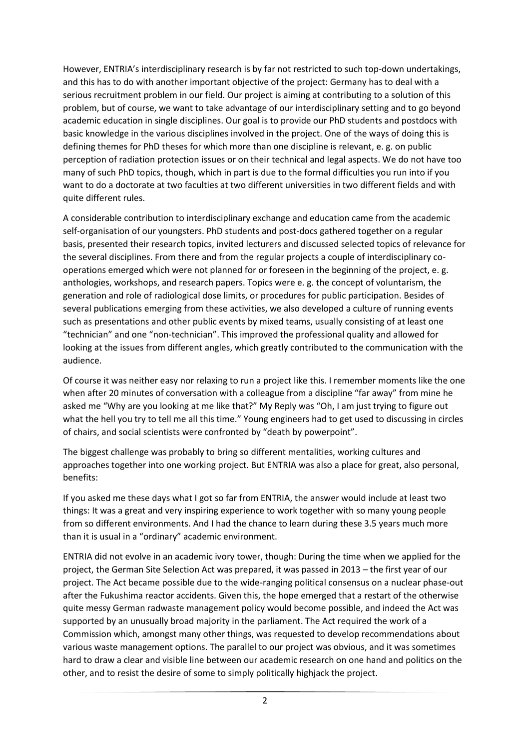However, ENTRIA's interdisciplinary research is by far not restricted to such top-down undertakings, and this has to do with another important objective of the project: Germany has to deal with a serious recruitment problem in our field. Our project is aiming at contributing to a solution of this problem, but of course, we want to take advantage of our interdisciplinary setting and to go beyond academic education in single disciplines. Our goal is to provide our PhD students and postdocs with basic knowledge in the various disciplines involved in the project. One of the ways of doing this is defining themes for PhD theses for which more than one discipline is relevant, e. g. on public perception of radiation protection issues or on their technical and legal aspects. We do not have too many of such PhD topics, though, which in part is due to the formal difficulties you run into if you want to do a doctorate at two faculties at two different universities in two different fields and with quite different rules.

A considerable contribution to interdisciplinary exchange and education came from the academic self-organisation of our youngsters. PhD students and post-docs gathered together on a regular basis, presented their research topics, invited lecturers and discussed selected topics of relevance for the several disciplines. From there and from the regular projects a couple of interdisciplinary cooperations emerged which were not planned for or foreseen in the beginning of the project, e. g. anthologies, workshops, and research papers. Topics were e. g. the concept of voluntarism, the generation and role of radiological dose limits, or procedures for public participation. Besides of several publications emerging from these activities, we also developed a culture of running events such as presentations and other public events by mixed teams, usually consisting of at least one "technician" and one "non-technician". This improved the professional quality and allowed for looking at the issues from different angles, which greatly contributed to the communication with the audience.

Of course it was neither easy nor relaxing to run a project like this. I remember moments like the one when after 20 minutes of conversation with a colleague from a discipline "far away" from mine he asked me "Why are you looking at me like that?" My Reply was "Oh, I am just trying to figure out what the hell you try to tell me all this time." Young engineers had to get used to discussing in circles of chairs, and social scientists were confronted by "death by powerpoint".

The biggest challenge was probably to bring so different mentalities, working cultures and approaches together into one working project. But ENTRIA was also a place for great, also personal, benefits:

If you asked me these days what I got so far from ENTRIA, the answer would include at least two things: It was a great and very inspiring experience to work together with so many young people from so different environments. And I had the chance to learn during these 3.5 years much more than it is usual in a "ordinary" academic environment.

ENTRIA did not evolve in an academic ivory tower, though: During the time when we applied for the project, the German Site Selection Act was prepared, it was passed in 2013 – the first year of our project. The Act became possible due to the wide-ranging political consensus on a nuclear phase-out after the Fukushima reactor accidents. Given this, the hope emerged that a restart of the otherwise quite messy German radwaste management policy would become possible, and indeed the Act was supported by an unusually broad majority in the parliament. The Act required the work of a Commission which, amongst many other things, was requested to develop recommendations about various waste management options. The parallel to our project was obvious, and it was sometimes hard to draw a clear and visible line between our academic research on one hand and politics on the other, and to resist the desire of some to simply politically highjack the project.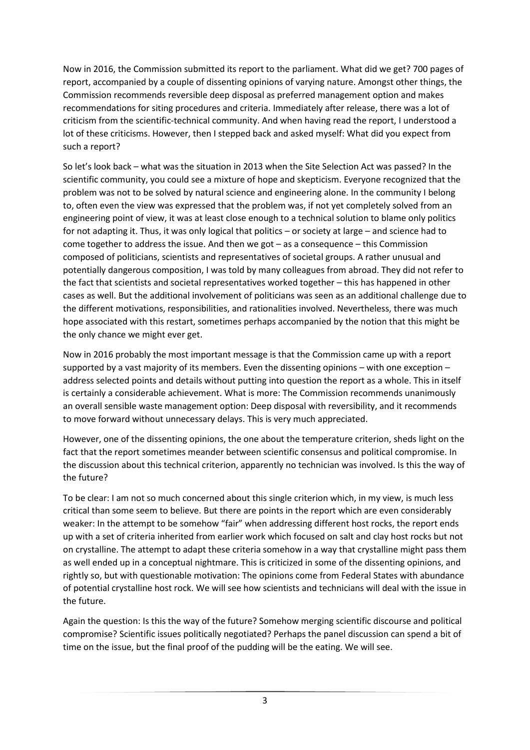Now in 2016, the Commission submitted its report to the parliament. What did we get? 700 pages of report, accompanied by a couple of dissenting opinions of varying nature. Amongst other things, the Commission recommends reversible deep disposal as preferred management option and makes recommendations for siting procedures and criteria. Immediately after release, there was a lot of criticism from the scientific-technical community. And when having read the report, I understood a lot of these criticisms. However, then I stepped back and asked myself: What did you expect from such a report?

So let's look back – what was the situation in 2013 when the Site Selection Act was passed? In the scientific community, you could see a mixture of hope and skepticism. Everyone recognized that the problem was not to be solved by natural science and engineering alone. In the community I belong to, often even the view was expressed that the problem was, if not yet completely solved from an engineering point of view, it was at least close enough to a technical solution to blame only politics for not adapting it. Thus, it was only logical that politics – or society at large – and science had to come together to address the issue. And then we got – as a consequence – this Commission composed of politicians, scientists and representatives of societal groups. A rather unusual and potentially dangerous composition, I was told by many colleagues from abroad. They did not refer to the fact that scientists and societal representatives worked together – this has happened in other cases as well. But the additional involvement of politicians was seen as an additional challenge due to the different motivations, responsibilities, and rationalities involved. Nevertheless, there was much hope associated with this restart, sometimes perhaps accompanied by the notion that this might be the only chance we might ever get.

Now in 2016 probably the most important message is that the Commission came up with a report supported by a vast majority of its members. Even the dissenting opinions – with one exception – address selected points and details without putting into question the report as a whole. This in itself is certainly a considerable achievement. What is more: The Commission recommends unanimously an overall sensible waste management option: Deep disposal with reversibility, and it recommends to move forward without unnecessary delays. This is very much appreciated.

However, one of the dissenting opinions, the one about the temperature criterion, sheds light on the fact that the report sometimes meander between scientific consensus and political compromise. In the discussion about this technical criterion, apparently no technician was involved. Is this the way of the future?

To be clear: I am not so much concerned about this single criterion which, in my view, is much less critical than some seem to believe. But there are points in the report which are even considerably weaker: In the attempt to be somehow "fair" when addressing different host rocks, the report ends up with a set of criteria inherited from earlier work which focused on salt and clay host rocks but not on crystalline. The attempt to adapt these criteria somehow in a way that crystalline might pass them as well ended up in a conceptual nightmare. This is criticized in some of the dissenting opinions, and rightly so, but with questionable motivation: The opinions come from Federal States with abundance of potential crystalline host rock. We will see how scientists and technicians will deal with the issue in the future.

Again the question: Is this the way of the future? Somehow merging scientific discourse and political compromise? Scientific issues politically negotiated? Perhaps the panel discussion can spend a bit of time on the issue, but the final proof of the pudding will be the eating. We will see.